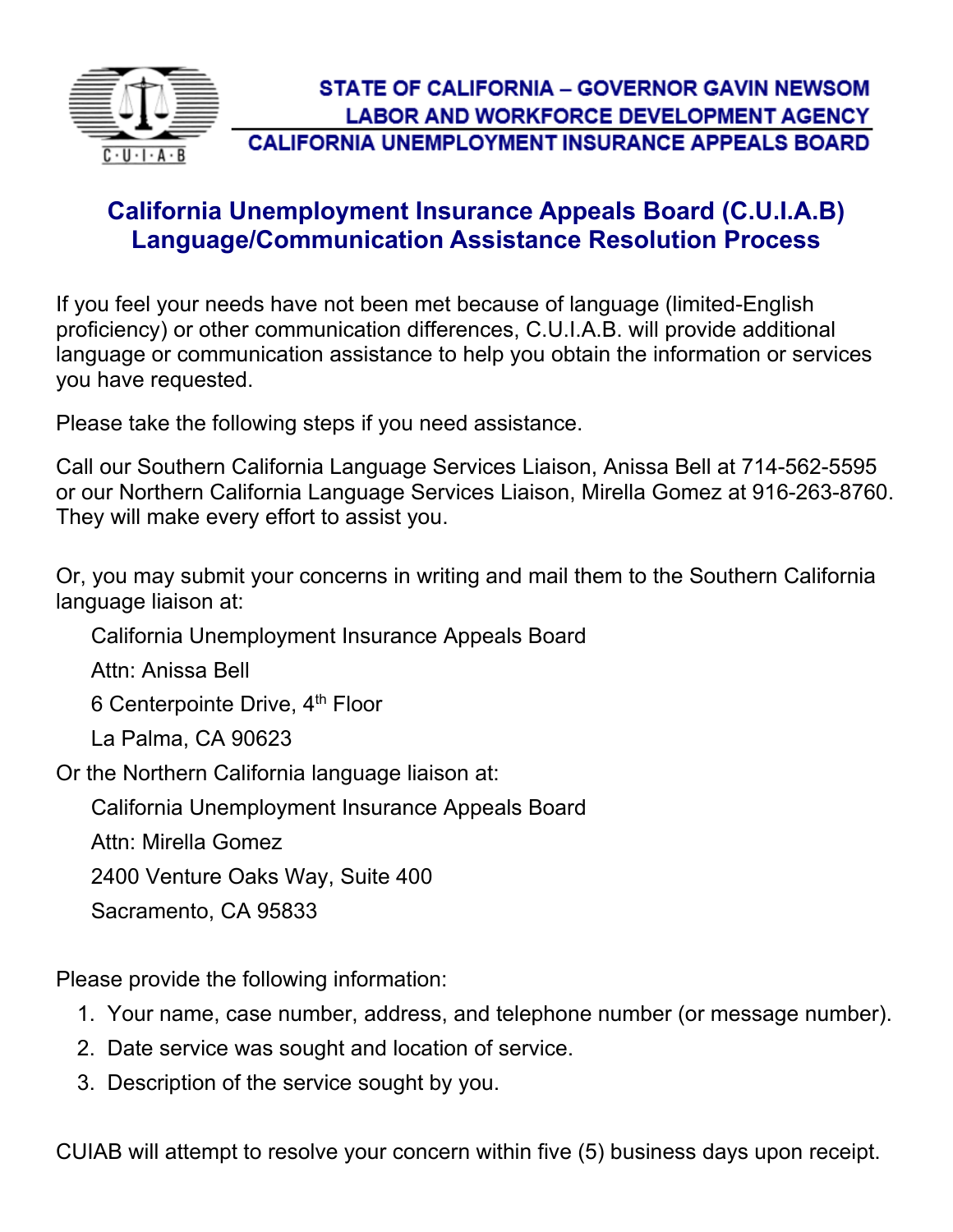

## **California Unemployment Insurance Appeals Board (C.U.I.A.B) Language/Communication Assistance Resolution Process**

If you feel your needs have not been met because of language (limited-English proficiency) or other communication differences, C.U.I.A.B. will provide additional language or communication assistance to help you obtain the information or services you have requested.

Please take the following steps if you need assistance.

Call our Southern California Language Services Liaison, Anissa Bell at 714-562-5595 or our Northern California Language Services Liaison, Mirella Gomez at 916-263-8760. They will make every effort to assist you.

Or, you may submit your concerns in writing and mail them to the Southern California language liaison at:

California Unemployment Insurance Appeals Board

Attn: Anissa Bell

6 Centerpointe Drive, 4<sup>th</sup> Floor

La Palma, CA 90623

Or the Northern California language liaison at:

California Unemployment Insurance Appeals Board

Attn: Mirella Gomez

2400 Venture Oaks Way, Suite 400

Sacramento, CA 95833

Please provide the following information:

- 1. Your name, case number, address, and telephone number (or message number).
- 2. Date service was sought and location of service.
- 3. Description of the service sought by you.

CUIAB will attempt to resolve your concern within five (5) business days upon receipt.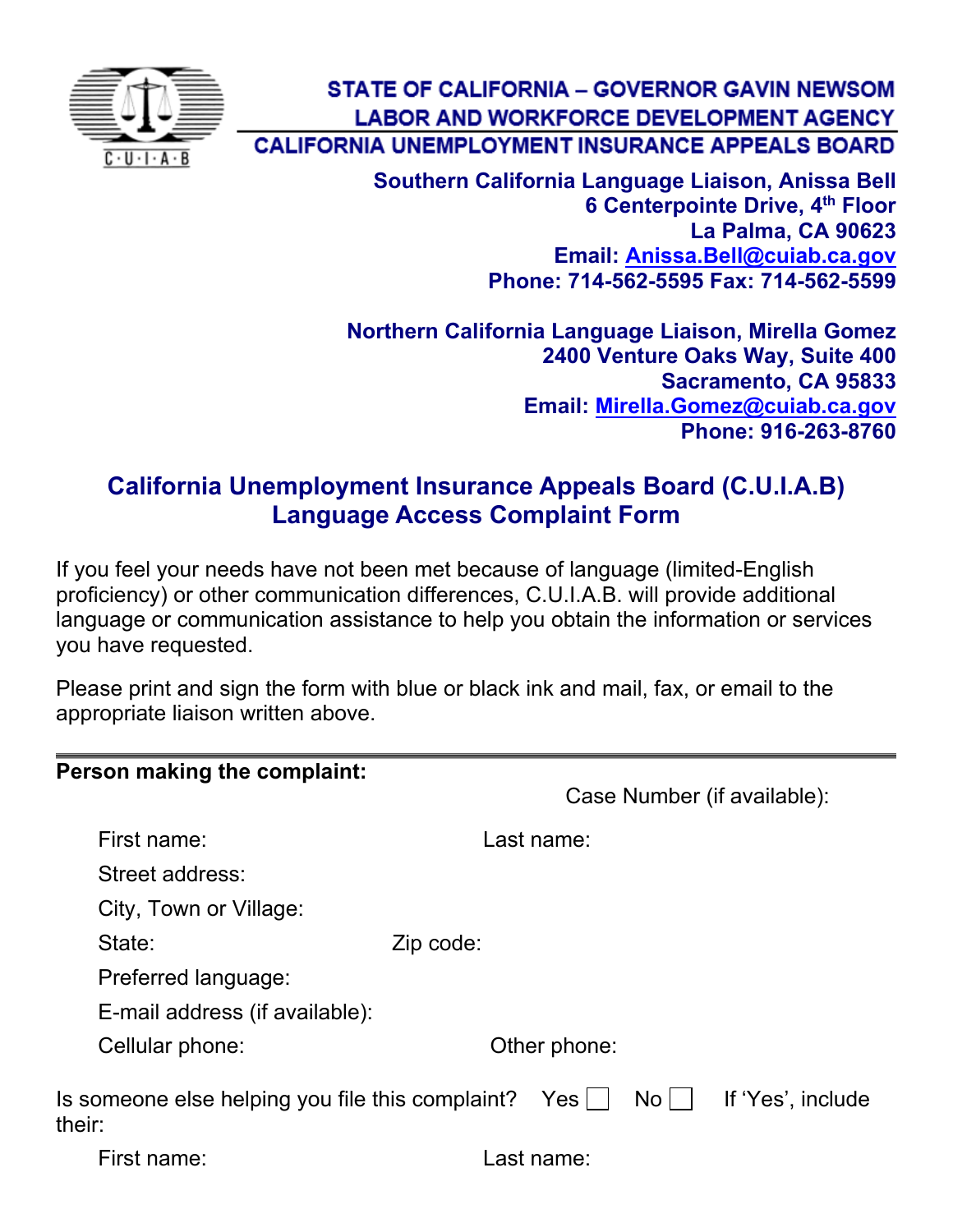

**STATE OF CALIFORNIA - GOVERNOR GAVIN NEWSOM LABOR AND WORKFORCE DEVELOPMENT AGENCY CALIFORNIA UNEMPLOYMENT INSURANCE APPEALS BOARD** 

> **Southern California Language Liaison, Anissa Bell 6 Centerpointe Drive, 4th Floor La Palma, CA 90623 Email: [Anissa.Bell@cuiab.ca.gov](mailto:Anissa.Bell@cuiab.ca.gov) Phone: 714-562-5595 Fax: 714-562-5599**

**Northern California Language Liaison, Mirella Gomez 2400 Venture Oaks Way, Suite 400 Sacramento, CA 95833 Email: [Mirella.Gomez@cuiab.ca.gov](mailto:Mirella.Gomez@cuiab.ca.gov) Phone: 916-263-8760**

## **California Unemployment Insurance Appeals Board (C.U.I.A.B) Language Access Complaint Form**

If you feel your needs have not been met because of language (limited-English proficiency) or other communication differences, C.U.I.A.B. will provide additional language or communication assistance to help you obtain the information or services you have requested.

Please print and sign the form with blue or black ink and mail, fax, or email to the appropriate liaison written above.

| Person making the complaint:                               |                                                   |  |
|------------------------------------------------------------|---------------------------------------------------|--|
|                                                            | Case Number (if available):                       |  |
| First name:                                                | Last name:                                        |  |
| Street address:                                            |                                                   |  |
| City, Town or Village:                                     |                                                   |  |
| State:                                                     | Zip code:                                         |  |
| Preferred language:                                        |                                                   |  |
| E-mail address (if available):                             |                                                   |  |
| Cellular phone:                                            | Other phone:                                      |  |
| Is someone else helping you file this complaint?<br>their: | If 'Yes', include<br>$No$ $ $<br>Yes <sub>l</sub> |  |
| First name:                                                | Last name:                                        |  |